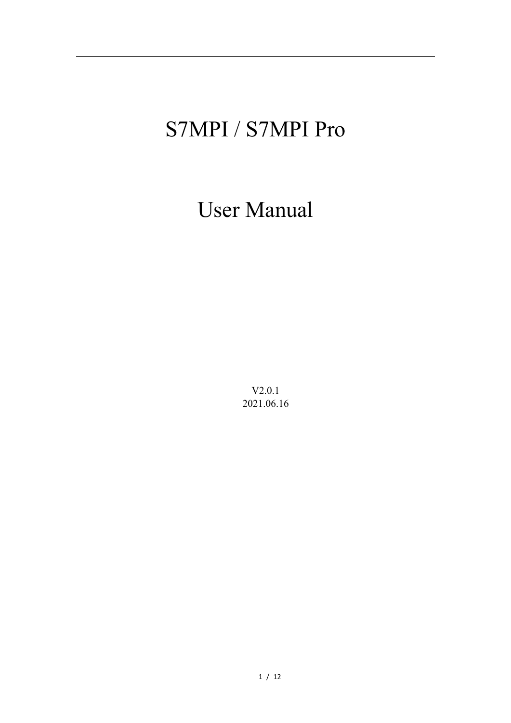# S7MPI / S7MPI Pro

User Manual

V2.0.1 2021.06.16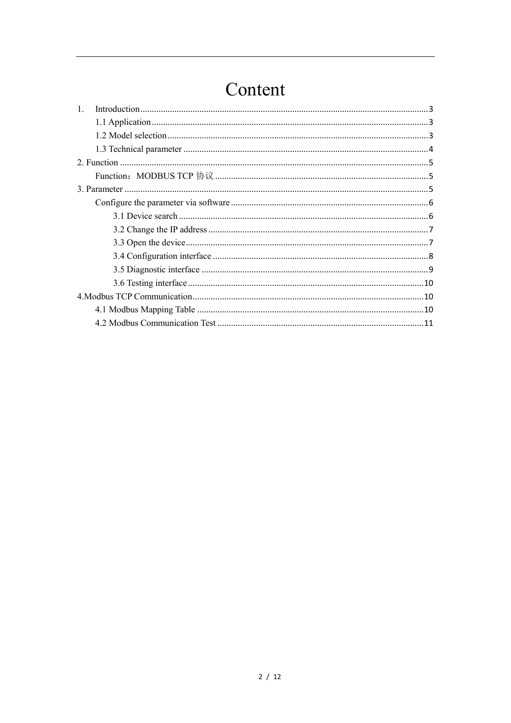## Content

| $\mathbf{1}$ . |  |
|----------------|--|
|                |  |
|                |  |
|                |  |
|                |  |
|                |  |
|                |  |
|                |  |
|                |  |
|                |  |
|                |  |
|                |  |
|                |  |
|                |  |
|                |  |
|                |  |
|                |  |
|                |  |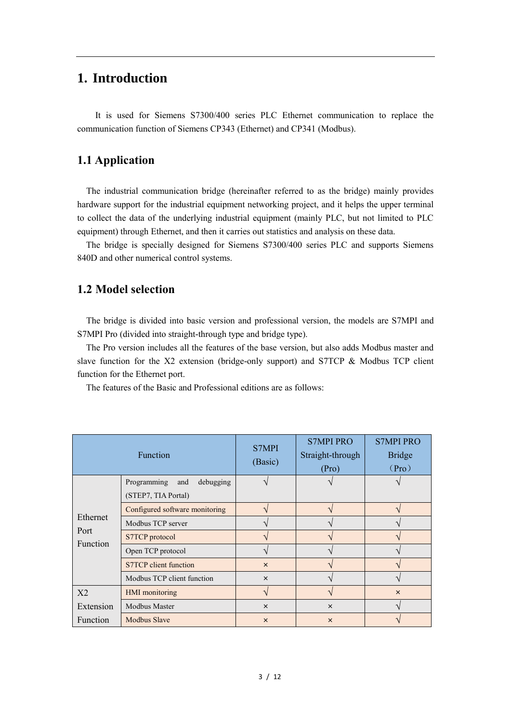#### <span id="page-2-0"></span>**1. Introduction**

It is used for Siemens S7300/400 series PLC Ethernet communication to replace the communication function of Siemens CP343 (Ethernet) and CP341 (Modbus).

#### <span id="page-2-1"></span>**1.1 Application**

The industrial communication bridge (hereinafter referred to as the bridge) mainly provides hardware support for the industrial equipment networking project, and it helps the upper terminal to collect the data of the underlying industrial equipment (mainly PLC, but not limited to PLC equipment) through Ethernet, and then it carries out statistics and analysis on these data.

 The bridge is specially designed for Siemens S7300/400 series PLC and supports Siemens 840D and other numerical control systems.

#### <span id="page-2-2"></span>**1.2 Model selection**

The bridge is divided into basic version and professional version, the models are S7MPI and S7MPI Pro (divided into straight-through type and bridge type).

 The Pro version includes all the features of the base version, but also adds Modbus master and slave function for the X2 extension (bridge-only support) and S7TCP & Modbus TCP client function for the Ethernet port.

The features of the Basic and Professional editions are as follows:

|                  | <b>Function</b>                 | S7MPI<br>(Basic) | <b>S7MPI PRO</b><br>Straight-through<br>(Pro) | <b>S7MPI PRO</b><br><b>Bridge</b><br>(Pro) |
|------------------|---------------------------------|------------------|-----------------------------------------------|--------------------------------------------|
|                  | Programming<br>debugging<br>and |                  |                                               |                                            |
|                  | (STEP7, TIA Portal)             |                  |                                               |                                            |
|                  | Configured software monitoring  |                  |                                               |                                            |
| Ethernet<br>Port | Modbus TCP server               |                  |                                               |                                            |
| <b>Function</b>  | S7TCP protocol                  |                  |                                               |                                            |
|                  | Open TCP protocol               |                  |                                               |                                            |
|                  | S7TCP client function           | $\times$         |                                               |                                            |
|                  | Modbus TCP client function      | $\times$         |                                               |                                            |
| X2               | <b>HMI</b> monitoring           | ٦                |                                               | $\times$                                   |
| Extension        | Modbus Master                   | $\times$         | $\times$                                      |                                            |
| <b>Function</b>  | <b>Modbus Slave</b>             | $\times$         | $\times$                                      |                                            |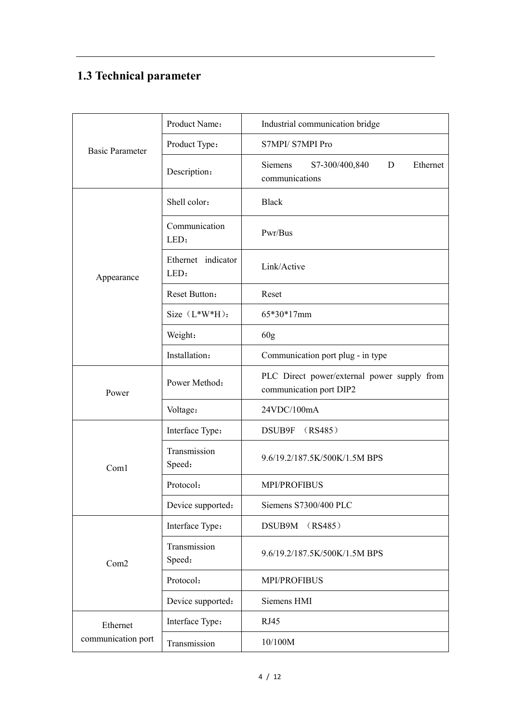## <span id="page-3-0"></span>**1.3 Technical parameter**

|                        | Product Name:              | Industrial communication bridge                                        |  |  |  |  |  |
|------------------------|----------------------------|------------------------------------------------------------------------|--|--|--|--|--|
| <b>Basic Parameter</b> | Product Type:              | S7MPI/S7MPI Pro                                                        |  |  |  |  |  |
|                        | Description:               | Siemens<br>S7-300/400,840<br>D<br>Ethernet<br>communications           |  |  |  |  |  |
|                        | Shell color:               | <b>Black</b>                                                           |  |  |  |  |  |
|                        | Communication<br>LED:      | Pwr/Bus                                                                |  |  |  |  |  |
| Appearance             | Ethernet indicator<br>LED: | Link/Active                                                            |  |  |  |  |  |
|                        | Reset Button:              | Reset                                                                  |  |  |  |  |  |
|                        | Size $(L*W*H)$ :           | 65*30*17mm                                                             |  |  |  |  |  |
|                        | Weight:                    | 60 <sub>g</sub>                                                        |  |  |  |  |  |
|                        | Installation:              | Communication port plug - in type                                      |  |  |  |  |  |
| Power                  | Power Method:              | PLC Direct power/external power supply from<br>communication port DIP2 |  |  |  |  |  |
|                        | Voltage:                   | 24VDC/100mA                                                            |  |  |  |  |  |
|                        | Interface Type:            | (RS485)<br>DSUB9F                                                      |  |  |  |  |  |
| Com1                   | Transmission<br>Speed:     | 9.6/19.2/187.5K/500K/1.5M BPS                                          |  |  |  |  |  |
|                        | Protocol:                  | <b>MPI/PROFIBUS</b>                                                    |  |  |  |  |  |
|                        | Device supported:          | Siemens S7300/400 PLC                                                  |  |  |  |  |  |
|                        | Interface Type:            | DSUB9M<br>(RS485)                                                      |  |  |  |  |  |
| Com2                   | Transmission<br>Speed:     | 9.6/19.2/187.5K/500K/1.5M BPS                                          |  |  |  |  |  |
|                        | Protocol:                  | <b>MPI/PROFIBUS</b>                                                    |  |  |  |  |  |
|                        | Device supported:          | Siemens HMI                                                            |  |  |  |  |  |
| Ethernet               | Interface Type:            | RJ45                                                                   |  |  |  |  |  |
| communication port     | Transmission               | 10/100M                                                                |  |  |  |  |  |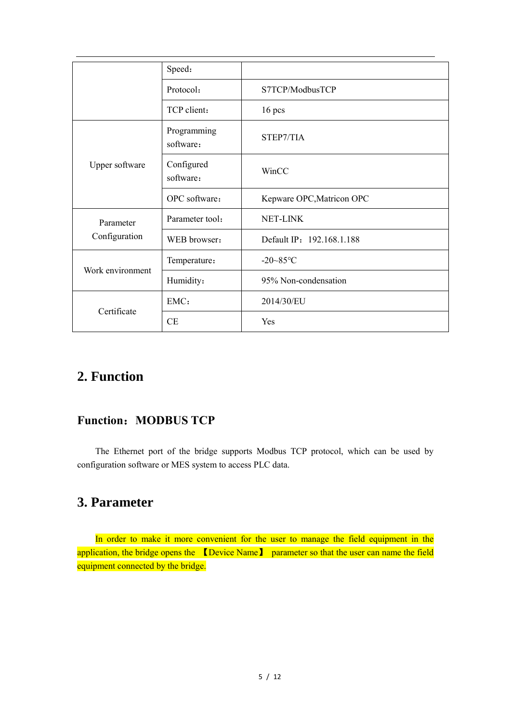|                  | Speed:                   |                           |
|------------------|--------------------------|---------------------------|
|                  | Protocol:                | S7TCP/ModbusTCP           |
|                  | TCP client:              | $16$ pcs                  |
|                  | Programming<br>software: | STEP7/TIA                 |
| Upper software   | Configured<br>software:  | WinCC                     |
|                  | OPC software:            | Kepware OPC, Matricon OPC |
| Parameter        | Parameter tool:          | NET-LINK                  |
| Configuration    | WEB browser:             | Default IP: 192.168.1.188 |
|                  | Temperature:             | $-20 - 85$ °C             |
| Work environment | Humidity:                | 95% Non-condensation      |
|                  | EMC:                     | 2014/30/EU                |
| Certificate      | CE                       | Yes                       |

## <span id="page-4-0"></span>**2. Function**

#### <span id="page-4-1"></span>**Function**:**MODBUS TCP**

The Ethernet port of the bridge supports Modbus TCP protocol, which can be used by configuration software or MES system to access PLC data.

#### <span id="page-4-2"></span>**3. Parameter**

In order to make it more convenient for the user to manage the field equipment in the application, the bridge opens the 【Device Name】 parameter so that the user can name the field equipment connected by the bridge.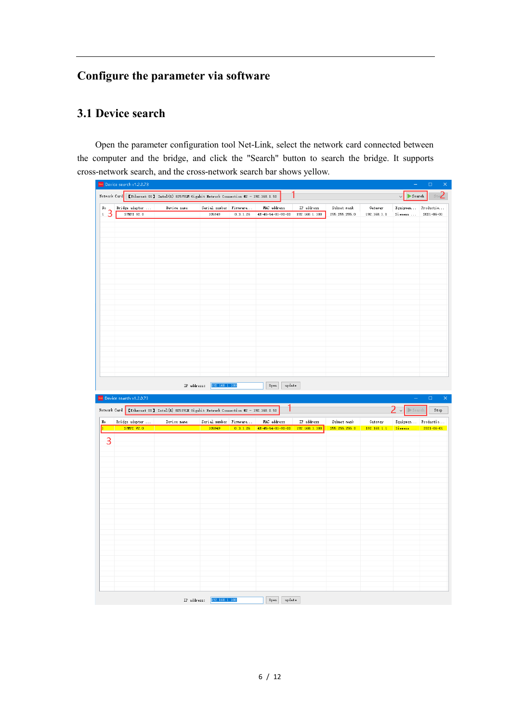## <span id="page-5-0"></span>**Configure the parameter via software**

#### <span id="page-5-1"></span>**3.1 Device search**

Open the parameter configuration tool Net-Link, select the network card connected between the computer and the bridge, and click the "Search" button to search the bridge. It supports cross-network search, and the cross-network search bar shows yellow.

|                  | Net Device search v1.2.0.73                                                               |             |                                                        |             |                                                |                                              |                              |                        | $\equiv$                                | $\Box$<br>$\vert \times \vert$         |
|------------------|-------------------------------------------------------------------------------------------|-------------|--------------------------------------------------------|-------------|------------------------------------------------|----------------------------------------------|------------------------------|------------------------|-----------------------------------------|----------------------------------------|
|                  | Network Card [Ethernet 01] Intel(R) 82579LM Gigabit Network Connection #2 - 192.168.1.50  |             |                                                        |             |                                                |                                              |                              |                        | $\blacktriangleright$ Search            | $\mathbf{S}^{13}$                      |
| No               | ${\tt Bridge\ adapter}\ \dots$                                                            | Device name | $\texttt{Serial number} \quad \texttt{Firmware} \dots$ |             | MAC address                                    | $\operatorname{IP}$ $\operatorname{address}$ | Subnet mask                  | Gateway                |                                         | ${\tt Equipmen} \quad {\tt Productio}$ |
| $\sqrt{3}$       | S7MPI V2.0                                                                                |             | 105949                                                 | 0.3.1.26    | 4E-45-54-01-9D-DD 192.168.1.188                |                                              | 255.255.255.0                | 192.168.1.1            | Siemens                                 | $2021 - 06 - 01$                       |
|                  |                                                                                           |             |                                                        |             |                                                |                                              |                              |                        |                                         |                                        |
|                  |                                                                                           |             |                                                        |             |                                                |                                              |                              |                        |                                         |                                        |
|                  |                                                                                           |             |                                                        |             |                                                |                                              |                              |                        |                                         |                                        |
|                  |                                                                                           |             |                                                        |             |                                                |                                              |                              |                        |                                         |                                        |
|                  |                                                                                           |             |                                                        |             |                                                |                                              |                              |                        |                                         |                                        |
|                  |                                                                                           |             |                                                        |             |                                                |                                              |                              |                        |                                         |                                        |
|                  |                                                                                           |             |                                                        |             |                                                |                                              |                              |                        |                                         |                                        |
|                  |                                                                                           |             |                                                        |             |                                                |                                              |                              |                        |                                         |                                        |
|                  |                                                                                           |             |                                                        |             |                                                |                                              |                              |                        |                                         |                                        |
|                  |                                                                                           |             |                                                        |             |                                                |                                              |                              |                        |                                         |                                        |
|                  |                                                                                           |             |                                                        |             |                                                |                                              |                              |                        |                                         |                                        |
|                  |                                                                                           |             |                                                        |             |                                                |                                              |                              |                        |                                         |                                        |
|                  |                                                                                           |             |                                                        |             |                                                |                                              |                              |                        |                                         |                                        |
|                  |                                                                                           |             |                                                        |             |                                                |                                              |                              |                        |                                         |                                        |
|                  |                                                                                           |             |                                                        |             |                                                |                                              |                              |                        |                                         |                                        |
|                  |                                                                                           |             |                                                        |             |                                                |                                              |                              |                        |                                         |                                        |
|                  |                                                                                           |             |                                                        |             |                                                |                                              |                              |                        |                                         |                                        |
|                  |                                                                                           |             |                                                        |             |                                                |                                              |                              |                        |                                         |                                        |
|                  |                                                                                           |             | IP address: 192.168.1.188                              |             | $0$ pen<br>update                              |                                              |                              |                        |                                         |                                        |
|                  |                                                                                           |             |                                                        |             |                                                |                                              |                              |                        |                                         |                                        |
|                  | Net Device search $v1.2.0.73$                                                             |             |                                                        |             |                                                |                                              |                              |                        | $\equiv$                                | $\Box$<br>$\times$                     |
|                  | Network Card [KEthernet 01] Intel(R) 82579LM Gigabit Network Connection #2 - 192.168.0.50 |             |                                                        |             |                                                |                                              |                              |                        | $\triangleright$ Search<br>$\checkmark$ | $\operatorname{\mathsf{Stop}}$         |
| $\rm{H}\,\rm{o}$ | Bridge adapter<br>S7MPI V2.0                                                              | Device name | Serial number Firmware<br>105949                       | 0, 3, 1, 26 | MAC address<br>4E-45-54-01-9D-DD 192.168.1.188 | IP address                                   | Subnet mask<br>255.255.255.0 | Gateway<br>192.168.1.1 | Siemens  2021-06-01                     | Equipmen Productio                     |
|                  |                                                                                           |             |                                                        |             |                                                |                                              |                              |                        |                                         |                                        |
| 3                |                                                                                           |             |                                                        |             |                                                |                                              |                              |                        |                                         |                                        |
|                  |                                                                                           |             |                                                        |             |                                                |                                              |                              |                        |                                         |                                        |
|                  |                                                                                           |             |                                                        |             |                                                |                                              |                              |                        |                                         |                                        |
|                  |                                                                                           |             |                                                        |             |                                                |                                              |                              |                        |                                         |                                        |
|                  |                                                                                           |             |                                                        |             |                                                |                                              |                              |                        |                                         |                                        |
|                  |                                                                                           |             |                                                        |             |                                                |                                              |                              |                        |                                         |                                        |
|                  |                                                                                           |             |                                                        |             |                                                |                                              |                              |                        |                                         |                                        |
|                  |                                                                                           |             |                                                        |             |                                                |                                              |                              |                        |                                         |                                        |
|                  |                                                                                           |             |                                                        |             |                                                |                                              |                              |                        |                                         |                                        |
|                  |                                                                                           |             |                                                        |             |                                                |                                              |                              |                        |                                         |                                        |
|                  |                                                                                           |             |                                                        |             |                                                |                                              |                              |                        |                                         |                                        |
|                  |                                                                                           |             |                                                        |             |                                                |                                              |                              |                        |                                         |                                        |
|                  |                                                                                           |             |                                                        |             |                                                |                                              |                              |                        |                                         |                                        |
|                  |                                                                                           |             |                                                        |             |                                                |                                              |                              |                        |                                         |                                        |
|                  |                                                                                           |             |                                                        |             |                                                |                                              |                              |                        |                                         |                                        |
|                  |                                                                                           |             |                                                        |             |                                                |                                              |                              |                        |                                         |                                        |
|                  |                                                                                           |             |                                                        |             |                                                |                                              |                              |                        |                                         |                                        |
|                  |                                                                                           |             |                                                        |             |                                                |                                              |                              |                        |                                         |                                        |
|                  |                                                                                           |             |                                                        |             |                                                |                                              |                              |                        |                                         |                                        |
|                  |                                                                                           |             | IP address: 192.168.1.188                              |             | $0\,\mathrm{pen}$<br>update                    |                                              |                              |                        |                                         |                                        |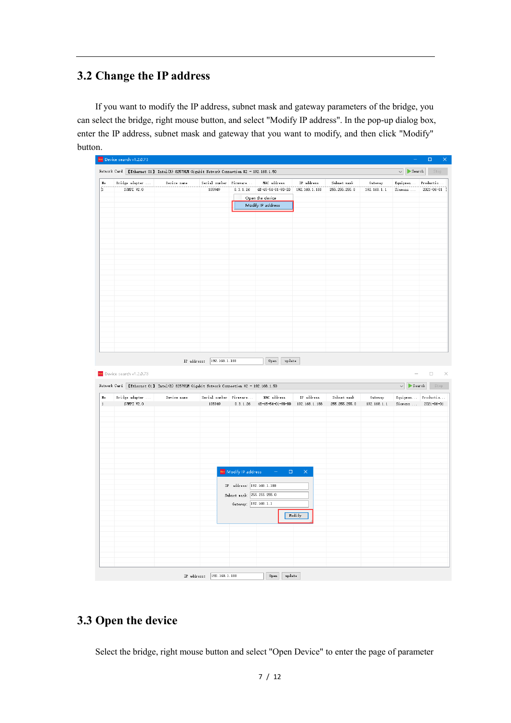#### <span id="page-6-0"></span>**3.2 Change the IP address**

If you want to modify the IP address, subnet mask and gateway parameters of the bridge, you can select the bridge, right mouse button, and select "Modify IP address". In the pop-up dialog box, enter the IP address, subnet mask and gateway that you want to modify, and then click "Modify" button.

| Ţ                          | Bridge adapter                                                                            | Device name | Serial number Firmware           |                                  | MAC address                          | IP address                  | Subnet mask                  | Gateway                | Equipmen Productio            |                                      |
|----------------------------|-------------------------------------------------------------------------------------------|-------------|----------------------------------|----------------------------------|--------------------------------------|-----------------------------|------------------------------|------------------------|-------------------------------|--------------------------------------|
|                            | S7MPI V2.0                                                                                |             | 105949                           | 0.3.1.26                         | 4E-45-54-01-9D-DD                    | 192.168.1.188               | 255.255.255.0                | 192.168.1.1            | Siemens                       | $2021 - 06 - 01$                     |
|                            |                                                                                           |             |                                  |                                  | Open the device<br>Modify IP address |                             |                              |                        |                               |                                      |
|                            |                                                                                           |             |                                  |                                  |                                      |                             |                              |                        |                               |                                      |
|                            |                                                                                           |             |                                  |                                  |                                      |                             |                              |                        |                               |                                      |
|                            |                                                                                           |             |                                  |                                  |                                      |                             |                              |                        |                               |                                      |
|                            |                                                                                           |             |                                  |                                  |                                      |                             |                              |                        |                               |                                      |
|                            |                                                                                           |             |                                  |                                  |                                      |                             |                              |                        |                               |                                      |
|                            |                                                                                           |             |                                  |                                  |                                      |                             |                              |                        |                               |                                      |
|                            |                                                                                           |             |                                  |                                  |                                      |                             |                              |                        |                               |                                      |
|                            |                                                                                           |             |                                  |                                  |                                      |                             |                              |                        |                               |                                      |
|                            |                                                                                           |             |                                  |                                  |                                      |                             |                              |                        |                               |                                      |
|                            |                                                                                           |             |                                  |                                  |                                      |                             |                              |                        |                               |                                      |
|                            |                                                                                           |             |                                  |                                  |                                      |                             |                              |                        |                               |                                      |
|                            |                                                                                           |             |                                  |                                  |                                      |                             |                              |                        |                               |                                      |
|                            |                                                                                           |             |                                  |                                  |                                      |                             |                              |                        |                               |                                      |
|                            |                                                                                           |             |                                  |                                  |                                      |                             |                              |                        |                               |                                      |
|                            |                                                                                           |             |                                  |                                  |                                      |                             |                              |                        |                               |                                      |
|                            |                                                                                           |             |                                  |                                  |                                      |                             |                              |                        |                               |                                      |
|                            | Net Device search v1.2.0.73                                                               |             |                                  |                                  |                                      |                             |                              |                        | $\equiv$                      | $\Box$                               |
|                            | Network Card [Ethernet 01] Intel (R) 82579LM Gigabit Network Connection #2 - 192.168.1.50 |             |                                  |                                  |                                      |                             |                              |                        | $\vee$ Search                 |                                      |
|                            | Bridge adapter<br>S7MPI V2.0                                                              | Device name | Serial number Firmware<br>105949 | 0.3.1.26                         | MAC address<br>4E-45-54-01-9D-DD     | IP address<br>192.168.1.188 | Subnet mask<br>255.255.255.0 | Gateway<br>192.168.1.1 | Equipmen Productio<br>Siemens | $\mathbb{R}^n$<br>Stop<br>2021-06-01 |
|                            |                                                                                           |             |                                  |                                  |                                      |                             |                              |                        |                               |                                      |
|                            |                                                                                           |             |                                  |                                  |                                      |                             |                              |                        |                               |                                      |
|                            |                                                                                           |             |                                  |                                  |                                      |                             |                              |                        |                               |                                      |
|                            |                                                                                           |             |                                  |                                  |                                      |                             |                              |                        |                               |                                      |
|                            |                                                                                           |             |                                  |                                  |                                      |                             |                              |                        |                               |                                      |
|                            |                                                                                           |             |                                  |                                  |                                      |                             |                              |                        |                               |                                      |
|                            |                                                                                           |             |                                  |                                  |                                      |                             |                              |                        |                               |                                      |
|                            |                                                                                           |             |                                  | <sup>Net</sup> Modify IP address | $\Box$<br>$\equiv$                   | $\times$                    |                              |                        |                               |                                      |
|                            |                                                                                           |             |                                  | IP address: 192.168.1.188        |                                      |                             |                              |                        |                               |                                      |
|                            |                                                                                           |             |                                  | Subnet mask: 255.255.255.0       |                                      |                             |                              |                        |                               |                                      |
|                            |                                                                                           |             |                                  | Gateway: 192.168.1.1             |                                      |                             |                              |                        |                               |                                      |
| $\rm{H}\, \rm{o}$<br>$1\,$ |                                                                                           |             |                                  |                                  |                                      | Modify                      |                              |                        |                               |                                      |
|                            |                                                                                           |             |                                  |                                  |                                      |                             |                              |                        |                               |                                      |
|                            |                                                                                           |             |                                  |                                  |                                      |                             |                              |                        |                               |                                      |
|                            |                                                                                           |             |                                  |                                  |                                      |                             |                              |                        |                               |                                      |

#### <span id="page-6-1"></span>**3.3 Open the device**

Select the bridge, right mouse button and select "Open Device" to enter the page of parameter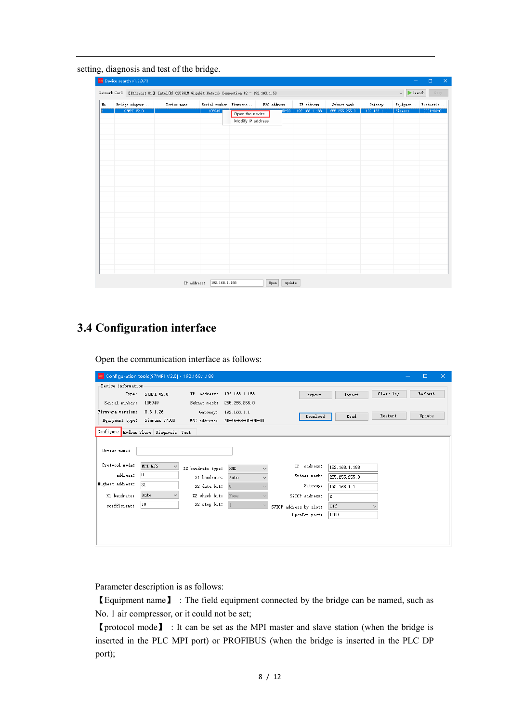setting, diagnosis and test of the bridge.

| Bridge adapter | Device name | Serial number Firmware |                                      | MAC address | IP address    | Subnet mask   | Gateway     | Equipmen | Productio        |
|----------------|-------------|------------------------|--------------------------------------|-------------|---------------|---------------|-------------|----------|------------------|
| S7MPI V2.0     |             | 105949                 | Open the device<br>Modify IP address | $p_{D-DD}$  | 192.168.1.188 | 255.255.255.0 | 192.168.1.1 | Siemens  | $2021 - 06 - 01$ |
|                |             |                        |                                      |             |               |               |             |          |                  |
|                |             |                        |                                      |             |               |               |             |          |                  |
|                |             |                        |                                      |             |               |               |             |          |                  |
|                |             |                        |                                      |             |               |               |             |          |                  |
|                |             |                        |                                      |             |               |               |             |          |                  |
|                |             |                        |                                      |             |               |               |             |          |                  |

### <span id="page-7-0"></span>**3.4 Configuration interface**

Open the communication interface as follows:

| Net Configuration tools [S7MPI V2.0] - 192.168.1.188 |                         |                   |                            |                        |               |              | $\Box$  | $\times$ |
|------------------------------------------------------|-------------------------|-------------------|----------------------------|------------------------|---------------|--------------|---------|----------|
| Device information                                   |                         |                   |                            |                        |               |              |         |          |
| Type:                                                | S7MPI V2.0              | IP address:       | 192.168.1.188              | Export                 | Import        | Clear log    | Refresh |          |
| Serial number:                                       | 105949                  | Subnet mask:      | 255.255.255.0              |                        |               |              |         |          |
| Firmware version:                                    | 0.3.1.26                | Gateway:          | 192.168.1.1                | Download               | Read          | Restart      | Update  |          |
| Equipment type:                                      | Siemens S7300           | MAC address:      | 4E-45-54-01-9D-DD          |                        |               |              |         |          |
| Configure Modbus Slave Diagnosis Test                |                         |                   |                            |                        |               |              |         |          |
|                                                      |                         |                   |                            |                        |               |              |         |          |
| Device name:                                         |                         |                   |                            |                        |               |              |         |          |
| Protocol mode:                                       | MPI M/S<br>$\checkmark$ | X2 baudrate type: | <b>HMI</b><br>$\checkmark$ | IP address:            | 192.168.1.188 |              |         |          |
| address:                                             | 10                      | X1 baudrate:      | Auto<br>$\checkmark$       | Subnet mask:           | 255.255.255.0 |              |         |          |
| Highest address:                                     | 31                      | X2 data bit:      | 8                          | Gateway:               | 192.168.1.1   |              |         |          |
| X1 baudrate:                                         | Auto<br>$\checkmark$    | X2 check bit:     | None                       | S7TCP address:         | 12            |              |         |          |
| coefficient:                                         | 10                      | X2 stop bit:      | $\vert$                    | S7TCP address by slot: | 0ff           | $\checkmark$ |         |          |
|                                                      |                         |                   |                            | OpenTop port:          | 1099          |              |         |          |
|                                                      |                         |                   |                            |                        |               |              |         |          |
|                                                      |                         |                   |                            |                        |               |              |         |          |
|                                                      |                         |                   |                            |                        |               |              |         |          |

Parameter description is as follows:

【Equipment name】 : The field equipment connected by the bridge can be named, such as No. 1 air compressor, or it could not be set;

【protocol mode】 : It can be set as the MPI master and slave station (when the bridge is inserted in the PLC MPI port) or PROFIBUS (when the bridge is inserted in the PLC DP port);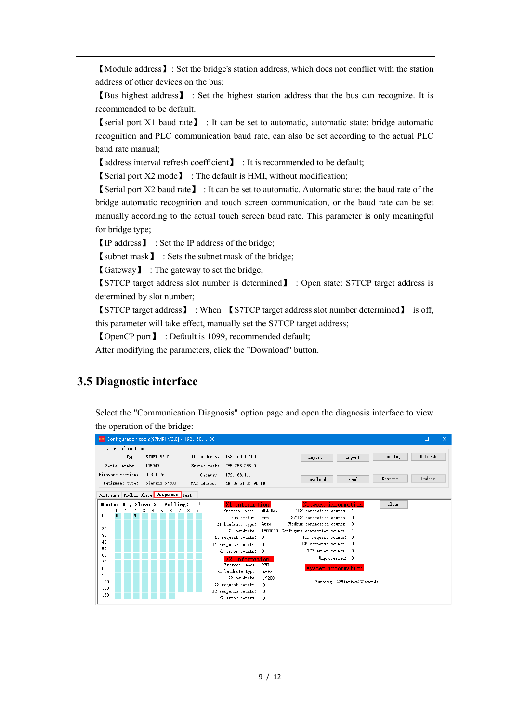【Module address】: Set the bridge's station address, which does not conflict with the station address of other devices on the bus;

【Bus highest address】 : Set the highest station address that the bus can recognize. It is recommended to be default.

【serial port X1 baud rate】 : It can be set to automatic, automatic state: bridge automatic recognition and PLC communication baud rate, can also be set according to the actual PLC baud rate manual;

【address interval refresh coefficient】 : It is recommended to be default;

【Serial port X2 mode】 : The default is HMI, without modification;

【Serial port X2 baud rate】 : It can be set to automatic. Automatic state: the baud rate of the bridge automatic recognition and touch screen communication, or the baud rate can be set manually according to the actual touch screen baud rate. This parameter is only meaningful for bridge type;

【IP address】 : Set the IP address of the bridge;

【subnet mask】 : Sets the subnet mask of the bridge;

【Gateway】 : The gateway to set the bridge;

【S7TCP target address slot number is determined】 : Open state: S7TCP target address is determined by slot number;

【S7TCP target address】 : When 【S7TCP target address slot number determined】 is off, this parameter will take effect, manually set the S7TCP target address;

【OpenCP port】 : Default is 1099, recommended default;

After modifying the parameters, click the "Download" button.

#### <span id="page-8-0"></span>**3.5 Diagnostic interface**

Select the "Communication Diagnosis" option page and open the diagnosis interface to view the operation of the bridge:

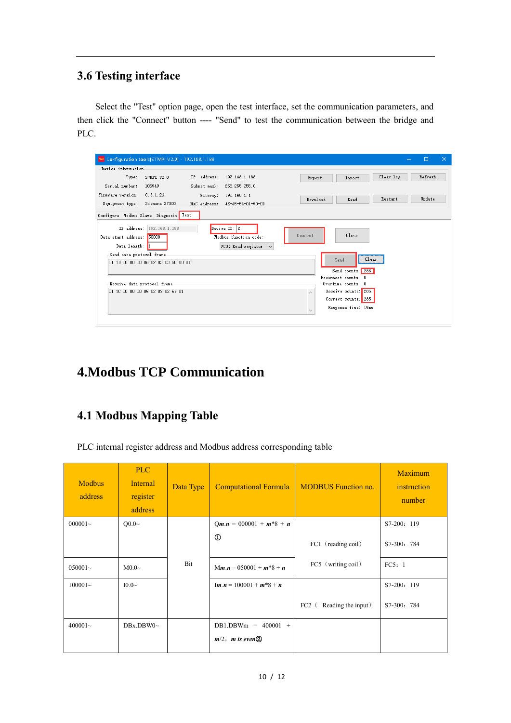#### <span id="page-9-0"></span>**3.6 Testing interface**

Select the "Test" option page, open the test interface, set the communication parameters, and then click the "Connect" button ---- "Send" to test the communication between the bridge and PLC.

| Net Configuration tools[S7MPI V2.0] - 192.168.1.188                    |                                                                    | $\Box$                                      | $\times$ |
|------------------------------------------------------------------------|--------------------------------------------------------------------|---------------------------------------------|----------|
| Device information                                                     |                                                                    |                                             |          |
| Type:<br>S7MPI V2.0                                                    | IP address:<br>192.168.1.188                                       | Refresh<br>Clear log<br>Export<br>Import    |          |
| Serial number:<br>105949                                               | Subnet mask:<br>255, 255, 255, 0                                   |                                             |          |
| Firmware version:<br>0.3.1.26                                          | 192.168.1.1<br>Gateway:                                            | Update<br>Restart<br>Download<br>Read       |          |
| Equipment type: Siemens S7300                                          | MAC address: 4E-45-54-01-9D-DD                                     |                                             |          |
| Configure   Modbus Slave   Diagnosis   Test                            |                                                                    |                                             |          |
| IP address: 192.168.1.188<br>Data start address: 50000<br>Data length: | Device ID: 2<br>Modbus function code:<br>FC3: Read register $\vee$ | Close<br>Connect                            |          |
| Send data protocol frame<br>01 1D 00 00 00 06 02 03 C3 50 00 01        |                                                                    | Clear<br>Send<br>Send counts: 286           |          |
|                                                                        |                                                                    | Reconnect counts: 0                         |          |
| Receive data protocol frame                                            |                                                                    | Overtime counts: 0                          |          |
| 01 1C 00 00 00 05 02 03 02 57 01                                       |                                                                    | Receive counts: 285                         |          |
|                                                                        |                                                                    | Correct counts: 285                         |          |
|                                                                        |                                                                    | Response time: 15ms<br>$\epsilon_{\rm eff}$ |          |
|                                                                        |                                                                    |                                             |          |

## <span id="page-9-1"></span>**4.Modbus TCP Communication**

#### <span id="page-9-2"></span>**4.1 Modbus Mapping Table**

PLC internal register address and Modbus address corresponding table

| <b>Modbus</b><br>address | PLC<br><b>Internal</b><br>register<br>address | Data Type | <b>Computational Formula</b>                                         | <b>MODBUS</b> Function no.    | <b>Maximum</b><br>instruction<br>number |
|--------------------------|-----------------------------------------------|-----------|----------------------------------------------------------------------|-------------------------------|-----------------------------------------|
| $000001-$                | $Q0.0\sim$                                    |           | $Qm.n = 000001 + m*8 + n$                                            |                               | S7-200: 119                             |
|                          |                                               |           | $^{\circ}$                                                           | FC1 (reading coil)            | S7-300: 784                             |
| $050001-$                | M0.0 <sub>~</sub>                             | Bit       | $Mm.n = 050001 + m*8 + n$                                            | FC5 (writing coil)            | FC5:1                                   |
| $100001-$                | $I0.0\sim$                                    |           | $\mathbf{Im} \cdot \mathbf{n} = 100001 + \mathbf{m}^*8 + \mathbf{n}$ |                               | S7-200: 119                             |
|                          |                                               |           |                                                                      | $FC2$ (<br>Reading the input) | S7-300: 784                             |
| $400001 -$               | DBx.DBW0~                                     |           | $DB1.DBWm = 400001 +$                                                |                               |                                         |
|                          |                                               |           | $m/2$ , <i>m</i> is even $\Omega$                                    |                               |                                         |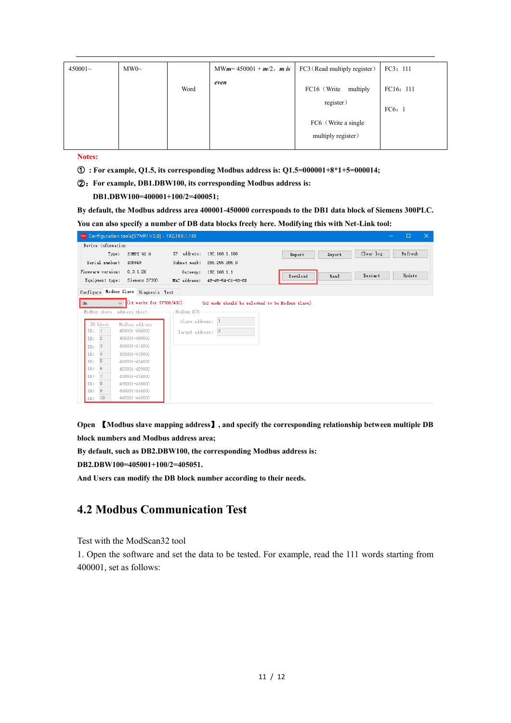| $450001 -$ | MWO~ |      | MW $m = 450001 + m/2$ , $m$ is FC3 (Read multiply register) |                                            | FC3: 111  |
|------------|------|------|-------------------------------------------------------------|--------------------------------------------|-----------|
|            |      | Word | even                                                        | FC16 (Write<br>multiply<br>register)       | FC16: 111 |
|            |      |      |                                                             | FC6 (Write a single)<br>multiply register) | FC6:1     |

**Notes:**

- ① **: For example, Q1.5, its corresponding Modbus address is: Q1.5=000001+8\*1+5=000014;**
- ②:**For example, DB1.DBW100, its corresponding Modbus address is:**

 **DB1.DBW100=400001+100/2=400051;**

**By default, the Modbus address area 400001-450000 corresponds to the DB1 data block of Siemens 300PLC. You can also specify a number of DB data blocks freely here. Modifying this with Net-Link tool:**

| Net Configuration tools[S7MPI V2.0] - 192.168.1.188                   |                                                               |                  | □<br>$\times$        |
|-----------------------------------------------------------------------|---------------------------------------------------------------|------------------|----------------------|
| Device information<br>Type:<br>S7MPI V2.0<br>Serial number:<br>105949 | IP address:<br>192.168.1.188<br>Subnet mask:<br>255.255.255.0 | Import<br>Export | Refresh<br>Clear log |
| Firmware version:<br>0.3.1.26<br>Siemens S7300<br>Equipment type:     | Gateway:<br>192.168.1.1<br>MAC address:<br>4E-45-54-01-9D-DD  | Download<br>Read | Update<br>Restart    |
| Configure Modbus Slave Diagnosis Test                                 |                                                               |                  |                      |
| $\sqrt{\left($ it works for S7300/400)<br>0n                          | (x2 mode should be selected to be Modbus slave)               |                  |                      |
| Modbus slave address sheet-                                           | -Modbus RTU-                                                  |                  |                      |
| DB block<br>Modbus address                                            | Slave address:                                                |                  |                      |
| DB:<br>400001-404800                                                  | $\overline{2}$<br>Target address:                             |                  |                      |
| 2<br>405001-409800<br>DB:                                             |                                                               |                  |                      |
| 3<br>410001-414800<br>DB:                                             |                                                               |                  |                      |
| 4<br>415001-419800<br>DB:                                             |                                                               |                  |                      |
| 5<br>420001-424800<br>DB:                                             |                                                               |                  |                      |
| 6<br>DB:<br>425001-429800                                             |                                                               |                  |                      |
| DB:<br>430001-434800                                                  |                                                               |                  |                      |
| 8<br>435001-439800<br>DB:                                             |                                                               |                  |                      |
| 9<br>DB:<br>440001-444800                                             |                                                               |                  |                      |
| 445001-449800<br>10<br>DB:                                            |                                                               |                  |                      |

**Open** 【**Modbus slave mapping address**】**, and specify the corresponding relationship between multiple DB block numbers and Modbus address area;**

**By default, such as DB2.DBW100, the corresponding Modbus address is:**

**DB2.DBW100=405001+100/2=405051.** 

<span id="page-10-0"></span>**And Users can modify the DB block number according to their needs.**

#### **4.2 Modbus Communication Test**

Test with the ModScan32 tool

1. Open the software and set the data to be tested. For example, read the 111 words starting from 400001, set as follows: